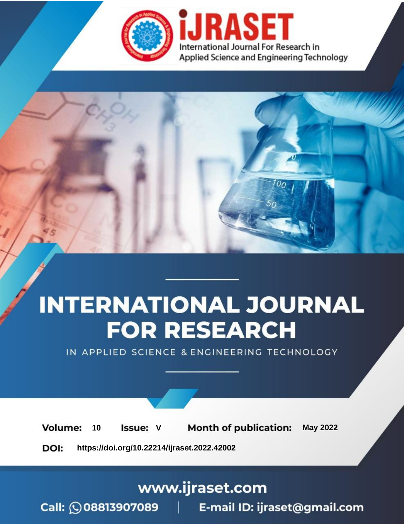

# **INTERNATIONAL JOURNAL FOR RESEARCH**

IN APPLIED SCIENCE & ENGINEERING TECHNOLOGY

Volume: **Month of publication: May 2022** 10 **Issue: V** 

DOI: https://doi.org/10.22214/ijraset.2022.42002

www.ijraset.com

Call: 008813907089 | E-mail ID: ijraset@gmail.com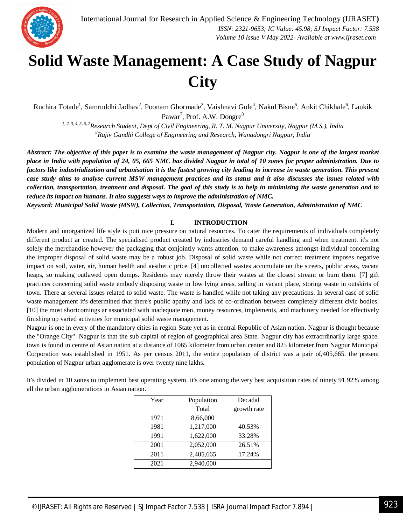

### **Solid Waste Management: A Case Study of Nagpur City**

Ruchira Totade<sup>1</sup>, Samruddhi Jadhav<sup>2</sup>, Poonam Ghormade<sup>3</sup>, Vaishnavi Gole<sup>4</sup>, Nakul Bisne<sup>5</sup>, Ankit Chikhale<sup>6</sup>, Laukik Pawar<sup>7</sup>, Prof. A.W. Dongre<sup>8</sup>

*1, 2, 3, 4, 5, 6, 7Research Student, Dept of Civil Engineering, R. T. M. Nagpur University, Nagpur (M.S.), India <sup>8</sup>Rajiv Gandhi College of Engineering and Research, Wanadongri Nagpur, India*

*Abstract: The objective of this paper is to examine the waste management of Nagpur city. Nagpur is one of the largest market place in India with population of 24, 05, 665 NMC has divided Nagpur in total of 10 zones for proper administration. Due to factors like industrialization and urbanisation it is the fastest growing city leading to increase in waste generation. This present case study aims to analyse current MSW management practices and its status and it also discusses the issues related with collection, transportation, treatment and disposal. The goal of this study is to help in minimizing the waste generation and to reduce its impact on humans. It also suggests ways to improve the administration of NMC.*

*Keyword: Municipal Solid Waste (MSW), Collection, Transportation, Disposal, Waste Generation, Administration of NMC*

#### **I. INTRODUCTION**

Modern and unorganized life style is putt nice pressure on natural resources. To cater the requirements of individuals completely different product ar created. The specialised product created by industries demand careful handling and when treatment. it's not solely the merchandise however the packaging that conjointly wants attention. to make awareness amongst individual concerning the improper disposal of solid waste may be a robust job. Disposal of solid waste while not correct treatment imposes negative impact on soil, water, air, human health and aesthetic price. [4] uncollected wastes accumulate on the streets, public areas, vacant heaps, so making outlawed open dumps. Residents may merely throw their wastes at the closest stream or burn them. [7] gift practices concerning solid waste embody disposing waste in low lying areas, selling in vacant place, storing waste in outskirts of town. There ar several issues related to solid waste. The waste is handled while not taking any precautions. In several case of solid waste management it's determined that there's public apathy and lack of co-ordination between completely different civic bodies. [10] the most shortcomings ar associated with inadequate men, money resources, implements, and machinery needed for effectively finishing up varied activities for municipal solid waste management.

Nagpur is one in every of the mandatory cities in region State yet as in central Republic of Asian nation. Nagpur is thought because the "Orange City". Nagpur is that the sub capital of region of geographical area State. Nagpur city has extraordinarily large space. town is found in centre of Asian nation at a distance of 1065 kilometer from urban center and 825 kilometer from Nagpur Municipal Corporation was established in 1951. As per census 2011, the entire population of district was a pair of,405,665. the present population of Nagpur urban agglomerate is over twenty nine lakhs.

It's divided in 10 zones to implement best operating system. it's one among the very best acquisition rates of ninety 91.92% among all the urban agglomerations in Asian nation.

| Year | Population | Decadal     |  |
|------|------------|-------------|--|
|      | Total      | growth rate |  |
| 1971 | 8,66,000   |             |  |
| 1981 | 1,217,000  | 40.53%      |  |
| 1991 | 1,622,000  | 33.28%      |  |
| 2001 | 2,052,000  | 26.51%      |  |
| 2011 | 2,405,665  | 17.24%      |  |
| 2021 | 2,940,000  |             |  |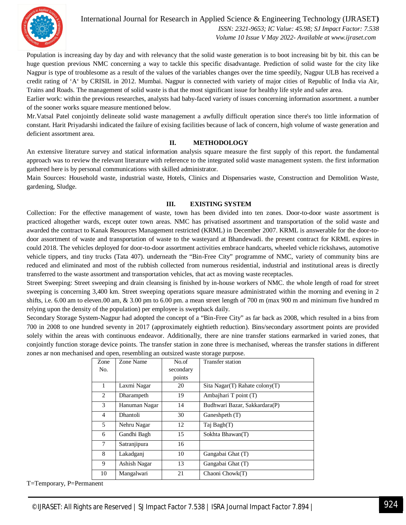

International Journal for Research in Applied Science & Engineering Technology (IJRASET**)**

 *ISSN: 2321-9653; IC Value: 45.98; SJ Impact Factor: 7.538 Volume 10 Issue V May 2022- Available at www.ijraset.com*

Population is increasing day by day and with relevancy that the solid waste generation is to boot increasing bit by bit. this can be huge question previous NMC concerning a way to tackle this specific disadvantage. Prediction of solid waste for the city like Nagpur is type of troublesome as a result of the values of the variables changes over the time speedily, Nagpur ULB has received a credit rating of 'A' by CRISIL in 2012. Mumbai. Nagpur is connected with variety of major cities of Republic of India via Air, Trains and Roads. The management of solid waste is that the most significant issue for healthy life style and safer area.

Earlier work: within the previous researches, analysts had baby-faced variety of issues concerning information assortment. a number of the sooner works square measure mentioned below.

Mr.Vatsal Patel conjointly delineate solid waste management a awfully difficult operation since there's too little information of constant. Harit Priyadarshi indicated the failure of exising facilities because of lack of concern, high volume of waste generation and deficient assortment area.

#### **II. METHODOLOGY**

An extensive literature survey and statical information analysis square measure the first supply of this report. the fundamental approach was to review the relevant literature with reference to the integrated solid waste management system. the first information gathered here is by personal communications with skilled administrator.

Main Sources: Household waste, industrial waste, Hotels, Clinics and Dispensaries waste, Construction and Demolition Waste, gardening, Sludge.

#### **III. EXISTING SYSTEM**

Collection: For the effective management of waste, town has been divided into ten zones. Door-to-door waste assortment is practiced altogether wards, except outer town areas. NMC has privatised assortment and transportation of the solid waste and awarded the contract to Kanak Resources Management restricted (KRML) in December 2007. KRML is answerable for the door-todoor assortment of waste and transportation of waste to the wasteyard at Bhandewadi. the present contract for KRML expires in could 2018. The vehicles deployed for door-to-door assortment activities embrace handcarts, wheeled vehicle rickshaws, automotive vehicle tippers, and tiny trucks (Tata 407). underneath the "Bin-Free City" programme of NMC, variety of community bins are reduced and eliminated and most of the rubbish collected from numerous residential, industrial and institutional areas is directly transferred to the waste assortment and transportation vehicles, that act as moving waste receptacles.

Street Sweeping: Street sweeping and drain cleansing is finished by in-house workers of NMC. the whole length of road for street sweeping is concerning 3,400 km. Street sweeping operations square measure administrated within the morning and evening in 2 shifts, i.e. 6.00 am to eleven.00 am,  $\&$  3.00 pm to 6.00 pm. a mean street length of 700 m (max 900 m and minimum five hundred m relying upon the density of the population) per employee is sweptback daily.

Secondary Storage System-Nagpur had adopted the concept of a "Bin-Free City" as far back as 2008, which resulted in a bins from 700 in 2008 to one hundred seventy in 2017 (approximately eightieth reduction). Bins/secondary assortment points are provided solely within the areas with continuous endeavor. Additionally, there are nine transfer stations earmarked in varied zones, that conjointly function storage device points. The transfer station in zone three is mechanised, whereas the transfer stations in different zones ar non mechanised and open, resembling an outsized waste storage purpose.

| Zone           | Zone Name     | No.of     | <b>Transfer station</b>        |
|----------------|---------------|-----------|--------------------------------|
| No.            |               | secondary |                                |
|                |               | points    |                                |
| $\mathbf{1}$   | Laxmi Nagar   | 20        | Sita Nagar(T) Rahate colony(T) |
| 2              | Dharampeth    | 19        | Ambajhari T point (T)          |
| 3              | Hanuman Nagar | 14        | Budhwari Bazar, Sakkardara(P)  |
| $\overline{4}$ | Dhantoli      | 30        | Ganeshpeth (T)                 |
| 5              | Nehru Nagar   | 12        | Taj Bagh(T)                    |
| 6              | Gandhi Bagh   | 15        | Sokhta Bhawan(T)               |
| 7              | Satranjipura  | 16        |                                |
| 8              | Lakadganj     | 10        | Gangabai Ghat (T)              |
| 9              | Ashish Nagar  | 13        | Gangabai Ghat (T)              |
| 10             | Mangalwari    | 21        | Chaoni Chowk(T)                |

T=Temporary, P=Permanent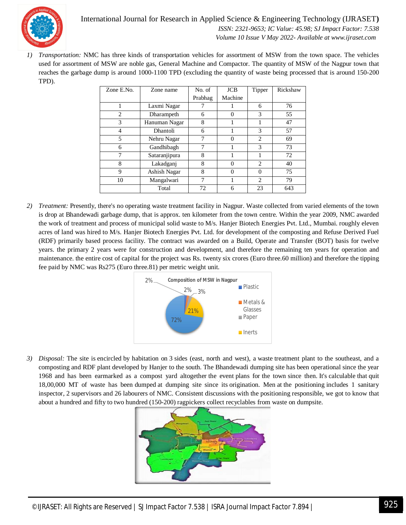International Journal for Research in Applied Science & Engineering Technology (IJRASET**)**  *ISSN: 2321-9653; IC Value: 45.98; SJ Impact Factor: 7.538*



 *Volume 10 Issue V May 2022- Available at www.ijraset.com*

*1) Transportation:* NMC has three kinds of transportation vehicles for assortment of MSW from the town space. The vehicles used for assortment of MSW are noble gas, General Machine and Compactor. The quantity of MSW of the Nagpur town that reaches the garbage dump is around 1000-1100 TPD (excluding the quantity of waste being processed that is around 150-200 TPD).

| Zone E.No.     | Zone name       | No. of  | <b>JCB</b> | Tipper         | Rickshaw |
|----------------|-----------------|---------|------------|----------------|----------|
|                |                 | Prabhag | Machine    |                |          |
|                | Laxmi Nagar     |         |            | 6              | 76       |
| $\overline{c}$ | Dharampeth      | 6       | 0          | 3              | 55       |
| 3              | Hanuman Nagar   | 8       |            | 1              | 47       |
| 4              | <b>Dhantoli</b> | 6       |            | 3              | 57       |
| 5              | Nehru Nagar     | 7       | $\Omega$   | $\overline{c}$ | 69       |
| 6              | Gandhibagh      | 7       |            | 3              | 73       |
| 7              | Sataranjipura   | 8       |            |                | 72       |
| 8              | Lakadganj       | 8       | $\Omega$   | 2              | 40       |
| 9              | Ashish Nagar    | 8       | $\Omega$   | $\Omega$       | 75       |
| 10             | Mangalwari      |         |            | $\mathfrak{D}$ | 79       |
|                | Total           | 72      | 6          | 23             | 643      |

*2) Treatment:* Presently, there's no operating waste treatment facility in Nagpur. Waste collected from varied elements of the town is drop at Bhandewadi garbage dump, that is approx. ten kilometer from the town centre. Within the year 2009, NMC awarded the work of treatment and process of municipal solid waste to M/s. Hanjer Biotech Energies Pvt. Ltd., Mumbai. roughly eleven acres of land was hired to M/s. Hanjer Biotech Energies Pvt. Ltd. for development of the composting and Refuse Derived Fuel (RDF) primarily based process facility. The contract was awarded on a Build, Operate and Transfer (BOT) basis for twelve years. the primary 2 years were for construction and development, and therefore the remaining ten years for operation and maintenance. the entire cost of capital for the project was Rs. twenty six crores (Euro three.60 million) and therefore the tipping fee paid by NMC was Rs275 (Euro three.81) per metric weight unit.



*3) Disposal:* The site is encircled by habitation on 3 sides (east, north and west), a waste treatment plant to the southeast, and a composting and RDF plant developed by Hanjer to the south. The Bhandewadi dumping site has been operational since the year 1968 and has been earmarked as a compost yard altogether the event plans for the town since then. It's calculable that quit 18,00,000 MT of waste has been dumped at dumping site since its origination. Men at the positioning includes 1 sanitary inspector, 2 supervisors and 26 labourers of NMC. Consistent discussions with the positioning responsible, we got to know that about a hundred and fifty to two hundred (150-200) ragpickers collect recyclables from waste on dumpsite.

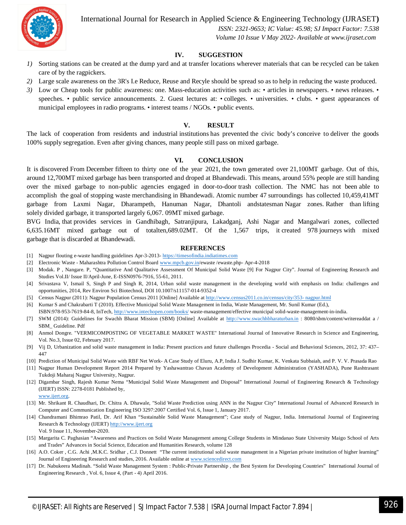

International Journal for Research in Applied Science & Engineering Technology (IJRASET**)**

 *ISSN: 2321-9653; IC Value: 45.98; SJ Impact Factor: 7.538 Volume 10 Issue V May 2022- Available at www.ijraset.com*

#### **IV. SUGGESTION**

- *1)* Sorting stations can be created at the dump yard and at transfer locations wherever materials that can be recycled can be taken care of by the ragpickers.
- *2)* Large scale awareness on the 3R's I.e Reduce, Reuse and Recyle should be spread so as to help in reducing the waste produced.
- 3) Low or Cheap tools for public awareness: one. Mass-education activities such as: articles in newspapers. news releases. speeches. • public service announcements. 2. Guest lectures at: • colleges. • universities. • clubs. • guest appearances of municipal employees in radio programs. • interest teams / NGOs. • public events.

#### **V. RESULT**

The lack of cooperation from residents and industrial institutions has prevented the civic body's conceive to deliver the goods 100% supply segregation. Even after giving chances, many people still pass on mixed garbage.

#### **VI. CONCLUSION**

It is discovered From December fifteen to thirty one of the year 2021, the town generated over 21,100MT garbage. Out of this, around 12,700MT mixed garbage has been transported and droped at Bhandewadi. This means, around 55% people are still handing over the mixed garbage to non-public agencies engaged in door-to-door trash collection. The NMC has not been able to accomplish the goal of stopping waste merchandising in Bhandewadi. Atomic number 47 surroundings has collected 10,459,41MT garbage from Laxmi Nagar, Dharampeth, Hanuman Nagar, Dhantoli andstatesman Nagar zones. Rather than lifting solely divided garbage, it transported largely 6,067. 09MT mixed garbage.

BVG India, that provides services in Gandhibagh, Satranjipura, Lakadganj, Ashi Nagar and Mangalwari zones, collected 6,635.16MT mixed garbage out of totalten,689.02MT. Of the 1,567 trips, it created 978 journeys with mixed garbage that is discarded at Bhandewadi.

#### **REFERENCES**

- [1] Nagpur flouting e-waste handling guidelines Apr-3-2013- https://timesofindia.indiatimes.com
- [2] Electronic Waste Maharashtra Pollution Control Board www.mpcb.gov.in/ewaste /ewaste.php- Apr-4-2018
- [3] Modak. P , Nangare. P, "Quantitative And Qualitative Assessment Of Municipal Solid Waste [9] For Nagpur City". Journal of Engineering Research and Studies Vol.II/ Issue II/April-June, E-ISSN0976-7916, 55-61, 2011.
- [4] Srivastava V, Ismail S, Singh P and Singh R, 2014, Urban solid waste management in the developing world with emphasis on India: challenges and opportunities, 2014, Rev Environ Sci Biotechnol, DOI 10.1007/s11157-014-9352-4
- [5] Census Nagpur (2011): Nagpur Population Census 2011 [Online] Available at http://www.census2011.co.in/census/city/353- nagpur.html
- [6] Kumar S and Chakrabarti T (2010). Effective Municipal Solid Waste Management in India, Waste Management, Mr. Sunil Kumar (Ed.), ISBN:978-953-7619-84-8, InTech, http://www.intechopen.com/books/ waste-management/effective municipal solid-waste-management-in-india.
- [7] SWM (2014): Guidelines for Swachh Bharat Mission (SBM) [Online] Available at http://www.swachhbharaturban.in : 8080/sbm/content/writereaddat a / SBM\_ Guideline. Pdf
- [8] Anmol Dongre. "VERMICOMPOSTING OF VEGETABLE MARKET WASTE" International Journal of Innovative Research in Science and Engineering, Vol. No.3, Issue 02, February 2017.
- [9] Vij D, Urbanization and solid waste management in India: Present practices and future challenges Procedia Social and Behavioral Sciences, 2012, 37: 437– 447
- [10] Prediction of Municipal Solid Waste with RBF Net Work- A Case Study of Eluru, A.P, India J. Sudhir Kumar, K. Venkata Subbaiah, and P. V. V. Prasada Rao
- [11] Nagpur Human Development Report 2014 Prepared by Yashawantrao Chavan Academy of Development Administration (YASHADA), Pune Rashtrasant Tukdoji Maharaj Nagpur University, Nagpur.
- [12] Digambar Singh, Rajesh Kumar Nema "Municipal Solid Waste Management and Disposal" International Journal of Engineering Research & Technology (IJERT) ISSN: 2278-0181 Published by,
- www.ijert.org.
- [13] Mr. Shrikant R. Chaudhari, Dr. Chitra A. Dhawale, "Solid Waste Prediction using ANN in the Nagpur City" International Journal of Advanced Research in Computer and Communication Engineering ISO 3297:2007 Certified Vol. 6, Issue 1, January 2017.
- [14] Chandramani Bhimrao Patil, Dr. Arif Khan "Sustainable Solid Waste Management"; Case study of Nagpur, India. International Journal of Engineering Research & Technology (IJERT) http://www.ijert.org Vol. 9 Issue 11, November-2020.
- [15] Margarita C. Paghasian "Awareness and Practices on Solid Waste Management among College Students in Mindanao State University Maigo School of Arts and Trades" Advances in Social Science, Education and Humanities Research, volume 128
- [16] A.O. Coker , C.G. Achi ,M.K.C. Sridhar , C.J. Donnett "The current institutional solid waste management in a Nigerian private institution of higher learning" Journal of Engineering Research and studies, 2016. Available online at www.sciencedirect.com
- [17] Dr. Nabukeera Madinah. "Solid Waste Management System : Public-Private Partnership , the Best System for Developing Countries" International Journal of Engineering Research , Vol. 6, Issue 4, (Part - 4) April 2016.